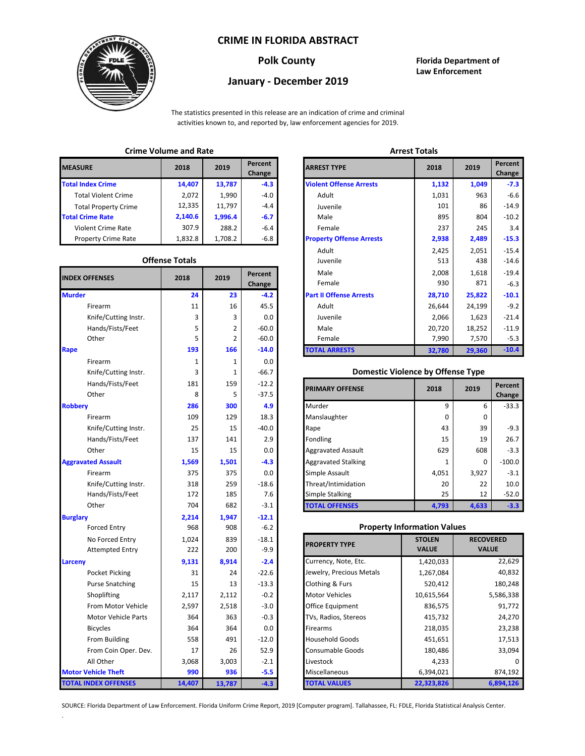### **CRIME IN FLORIDA ABSTRACT**



# **January - December 2019**

**Polk County Florida Department of Law Enforcement**

The statistics presented in this release are an indication of crime and criminal activities known to, and reported by, law enforcement agencies for 2019.

## **Crime Volume and Rate Arrest Totals**

| <b>MEASURE</b>              | 2018    | 2019    | Percent<br>Change | <b>ARREST TYPE</b>             |
|-----------------------------|---------|---------|-------------------|--------------------------------|
| <b>Total Index Crime</b>    | 14,407  | 13,787  | $-4.3$            | <b>Violent Offense Arrests</b> |
| <b>Total Violent Crime</b>  | 2.072   | 1,990   | -4.0              | Adult                          |
| <b>Total Property Crime</b> | 12,335  | 11.797  | $-4.4$            | Juvenile                       |
| <b>Total Crime Rate</b>     | 2,140.6 | 1.996.4 | $-6.7$            | Male                           |
| <b>Violent Crime Rate</b>   | 307.9   | 288.2   | $-6.4$            | Female                         |
| <b>Property Crime Rate</b>  | 1,832.8 | 1.708.2 | -6.8              | <b>Property Offense Arrest</b> |

#### **Offense Totals**

| <b>INDEX OFFENSES</b>       | 2018        | 2019           | Percent<br>Change | Male<br>Female                           | 2,008<br>930  | 1,618<br>871     | $-19.4$<br>$-6.3$ |
|-----------------------------|-------------|----------------|-------------------|------------------------------------------|---------------|------------------|-------------------|
| <b>Murder</b>               | 24          | 23             | $-4.2$            | <b>Part II Offense Arrests</b>           | 28,710        | 25,822           | $-10.1$           |
| Firearm                     | 11          | 16             | 45.5              | Adult                                    | 26,644        | 24,199           | $-9.2$            |
| Knife/Cutting Instr.        | 3           | 3              | 0.0               | Juvenile                                 | 2,066         | 1,623            | $-21.4$           |
| Hands/Fists/Feet            | 5           | 2              | $-60.0$           | Male                                     | 20,720        | 18,252           | $-11.9$           |
| Other                       | 5           | $\overline{2}$ | $-60.0$           | Female                                   | 7,990         | 7,570            | $-5.3$            |
| Rape                        | 193         | 166            | $-14.0$           | <b>TOTAL ARRESTS</b>                     | 32,780        | 29,360           | $-10.4$           |
| Firearm                     | $\mathbf 1$ | 1              | 0.0               |                                          |               |                  |                   |
| Knife/Cutting Instr.        | 3           | 1              | $-66.7$           | <b>Domestic Violence by Offense Type</b> |               |                  |                   |
| Hands/Fists/Feet            | 181         | 159            | $-12.2$           |                                          | 2018          | 2019             | Percent           |
| Other                       | 8           | 5              | $-37.5$           | <b>PRIMARY OFFENSE</b>                   |               |                  | Change            |
| <b>Robbery</b>              | 286         | 300            | 4.9               | Murder                                   | 9             | 6                | $-33.3$           |
| Firearm                     | 109         | 129            | 18.3              | Manslaughter                             | 0             | 0                |                   |
| Knife/Cutting Instr.        | 25          | 15             | $-40.0$           | Rape                                     | 43            | 39               | $-9.3$            |
| Hands/Fists/Feet            | 137         | 141            | 2.9               | Fondling                                 | 15            | 19               | 26.7              |
| Other                       | 15          | 15             | 0.0               | <b>Aggravated Assault</b>                | 629           | 608              | $-3.3$            |
| <b>Aggravated Assault</b>   | 1,569       | 1,501          | $-4.3$            | <b>Aggravated Stalking</b>               | 1             | $\Omega$         | $-100.0$          |
| Firearm                     | 375         | 375            | 0.0               | Simple Assault                           | 4,051         | 3,927            | $-3.1$            |
| Knife/Cutting Instr.        | 318         | 259            | $-18.6$           | Threat/Intimidation                      | 20            | 22               | 10.0              |
| Hands/Fists/Feet            | 172         | 185            | 7.6               | <b>Simple Stalking</b>                   | 25            | 12               | $-52.0$           |
| Other                       | 704         | 682            | $-3.1$            | <b>TOTAL OFFENSES</b>                    | 4,793         | 4,633            | $-3.3$            |
| <b>Burglary</b>             | 2,214       | 1,947          | $-12.1$           |                                          |               |                  |                   |
| <b>Forced Entry</b>         | 968         | 908            | $-6.2$            | <b>Property Information Values</b>       |               |                  |                   |
| No Forced Entry             | 1,024       | 839            | $-18.1$           | <b>PROPERTY TYPE</b>                     | <b>STOLEN</b> | <b>RECOVERED</b> |                   |
| <b>Attempted Entry</b>      | 222         | 200            | $-9.9$            |                                          | <b>VALUE</b>  | <b>VALUE</b>     |                   |
| Larceny                     | 9,131       | 8,914          | $-2.4$            | Currency, Note, Etc.                     | 1,420,033     |                  | 22,629            |
| Pocket Picking              | 31          | 24             | $-22.6$           | Jewelry, Precious Metals                 | 1,267,084     |                  | 40,832            |
| <b>Purse Snatching</b>      | 15          | 13             | $-13.3$           | Clothing & Furs                          | 520,412       |                  | 180,248           |
| Shoplifting                 | 2,117       | 2,112          | $-0.2$            | <b>Motor Vehicles</b>                    | 10,615,564    |                  | 5,586,338         |
| From Motor Vehicle          | 2,597       | 2,518          | $-3.0$            | Office Equipment                         | 836,575       |                  | 91,772            |
| Motor Vehicle Parts         | 364         | 363            | $-0.3$            | TVs, Radios, Stereos                     | 415,732       |                  | 24,270            |
| <b>Bicycles</b>             | 364         | 364            | 0.0               | Firearms                                 | 218,035       |                  | 23,238            |
| From Building               | 558         | 491            | $-12.0$           | <b>Household Goods</b>                   | 451,651       |                  | 17,513            |
| From Coin Oper. Dev.        | 17          | 26             | 52.9              | Consumable Goods                         | 180,486       | 33,094           |                   |
| All Other                   | 3,068       | 3,003          | $-2.1$            | Livestock                                | 4,233         |                  |                   |
| <b>Motor Vehicle Theft</b>  | 990         | 936            | $-5.5$            | Miscellaneous                            | 6,394,021     |                  | 874,192           |
| <b>TOTAL INDEX OFFENSES</b> | 14,407      | 13,787         | $-4.3$            | <b>TOTAL VALUES</b>                      | 22,323,826    |                  | 6,894,126         |

.

| שווווכ שטומוווכ מוומ וזמנכ |                       |         |                          |                                 | ๛๛๛๛๛  |        |                   |  |
|----------------------------|-----------------------|---------|--------------------------|---------------------------------|--------|--------|-------------------|--|
| RΕ                         | 2018                  | 2019    | <b>Percent</b><br>Change | <b>ARREST TYPE</b>              |        | 2019   | Percent<br>Change |  |
| dex Crime                  | 14,407                | 13,787  | $-4.3$                   | <b>Violent Offense Arrests</b>  | 1,132  | 1,049  | $-7.3$            |  |
| Il Violent Crime           | 2,072                 | 1,990   | $-4.0$                   | Adult                           | 1,031  | 963    | $-6.6$            |  |
| Il Property Crime          | 12,335                | 11,797  | $-4.4$                   | Juvenile                        | 101    | 86     | $-14.9$           |  |
| me Rate                    | 2,140.6               | 1,996.4 | $-6.7$                   | Male                            | 895    | 804    | $-10.2$           |  |
| ent Crime Rate             | 307.9                 | 288.2   | $-6.4$                   | Female                          | 237    | 245    | 3.4               |  |
| erty Crime Rate            | 1,832.8               | 1,708.2 | $-6.8$                   | <b>Property Offense Arrests</b> | 2,938  | 2,489  | $-15.3$           |  |
|                            |                       |         |                          | Adult                           | 2,425  | 2,051  | $-15.4$           |  |
|                            | <b>Offense Totals</b> |         |                          | Juvenile                        | 513    | 438    | $-14.6$           |  |
| <b>FFENSES</b>             | 2018                  | 2019    | Percent                  | Male                            | 2,008  | 1,618  | $-19.4$           |  |
|                            |                       |         | Change                   | Female                          | 930    | 871    | $-6.3$            |  |
|                            | 24                    | 23      | $-4.2$                   | <b>Part II Offense Arrests</b>  | 28,710 | 25,822 | $-10.1$           |  |
| Firearm                    | 11                    | 16      | 45.5                     | Adult                           | 26,644 | 24,199 | $-9.2$            |  |
| Knife/Cutting Instr.       | 3                     | 3       | 0.0                      | Juvenile                        | 2,066  | 1,623  | $-21.4$           |  |
| Hands/Fists/Feet           | 5                     | 2       | $-60.0$                  | Male                            | 20,720 | 18,252 | $-11.9$           |  |
| Other                      | 5                     | 2       | $-60.0$                  | Female                          | 7,990  | 7,570  | $-5.3$            |  |
|                            | 193                   | 166     | $-14.0$                  | <b>TOTAL ARRESTS</b>            | 32,780 | 29,360 | $-10.4$           |  |
|                            |                       |         |                          |                                 |        |        |                   |  |

#### 3 **Domestic Violence by Offense Type**

| Hands/Fists/Feet<br>Other | 181<br>8 | 159<br>5 | $-12.2$<br>$-37.5$ | <b>PRIMARY OFFENSE</b>     | 2018     | 2019  | Percent<br>Change |
|---------------------------|----------|----------|--------------------|----------------------------|----------|-------|-------------------|
|                           | 286      | 300      | 4.9                | Murder                     | q        | 6     | $-33.3$           |
| Firearm                   | 109      | 129      | 18.3               | Manslaughter               | $\Omega$ | 0     |                   |
| Knife/Cutting Instr.      | 25       | 15       | $-40.0$            | Rape                       | 43       | 39    | $-9.3$            |
| Hands/Fists/Feet          | 137      | 141      | 2.9                | Fondling                   | 15       | 19    | 26.7              |
| Other                     | 15       | 15       | 0.0                | <b>Aggravated Assault</b>  | 629      | 608   | $-3.3$            |
| ted Assault               | 1,569    | 1,501    | $-4.3$             | <b>Aggravated Stalking</b> |          | 0     | $-100.0$          |
| Firearm                   | 375      | 375      | 0.0                | Simple Assault             | 4,051    | 3,927 | $-3.1$            |
| Knife/Cutting Instr.      | 318      | 259      | $-18.6$            | Threat/Intimidation        | 20       | 22    | 10.0              |
| Hands/Fists/Feet          | 172      | 185      | 7.6                | <b>Simple Stalking</b>     | 25       | 12    | $-52.0$           |
| Other                     | 704      | 682      | $-3.1$             | <b>TOTAL OFFENSES</b>      | 4,793    | 4,633 | $-3.3$            |

#### **Property Information Values**

| 1.024 | 839    | $-18.1$ | <b>PROPERTY TYPE</b>     | <b>STOLEN</b> | <b>RECOVERED</b> |
|-------|--------|---------|--------------------------|---------------|------------------|
| 222   | 200    | $-9.9$  |                          | <b>VALUE</b>  | <b>VALUE</b>     |
| 9,131 | 8,914  | $-2.4$  | Currency, Note, Etc.     | 1,420,033     | 22,629           |
| 31    | 24     | $-22.6$ | Jewelry, Precious Metals | 1,267,084     | 40,832           |
| 15    | 13     | $-13.3$ | Clothing & Furs          | 520,412       | 180,248          |
| 2,117 | 2,112  | $-0.2$  | <b>Motor Vehicles</b>    | 10,615,564    | 5,586,338        |
| 2,597 | 2,518  | $-3.0$  | <b>Office Equipment</b>  | 836,575       | 91,772           |
| 364   | 363    | $-0.3$  | TVs, Radios, Stereos     | 415,732       | 24,270           |
| 364   | 364    | 0.0     | <b>Firearms</b>          | 218,035       | 23,238           |
| 558   | 491    | $-12.0$ | <b>Household Goods</b>   | 451,651       | 17,513           |
| 17    | 26     | 52.9    | <b>Consumable Goods</b>  | 180,486       | 33,094           |
| 3,068 | 3,003  | $-2.1$  | Livestock                | 4,233         |                  |
| 990   | 936    | $-5.5$  | Miscellaneous            | 6,394,021     | 874,192          |
| 4,407 | 13,787 | $-4.3$  | <b>TOTAL VALUES</b>      | 22,323,826    | 6,894,126        |

SOURCE: Florida Department of Law Enforcement. Florida Uniform Crime Report, 2019 [Computer program]. Tallahassee, FL: FDLE, Florida Statistical Analysis Center.